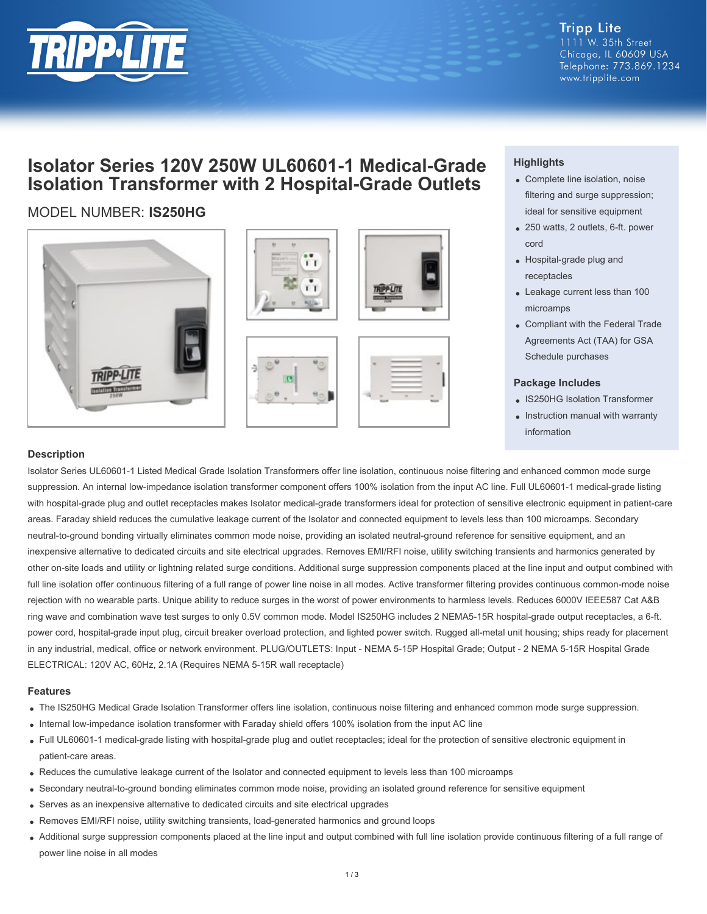

**Tripp Lite** 1111 W. 35th Street Chicago, IL 60609 USA Telephone: 773.869.1234 www.tripplite.com

## **Isolator Series 120V 250W UL60601-1 Medical-Grade Isolation Transformer with 2 Hospital-Grade Outlets**

## MODEL NUMBER: **IS250HG**











### **Highlights**

- Complete line isolation, noise filtering and surge suppression; ideal for sensitive equipment
- 250 watts, 2 outlets, 6-ft. power cord
- Hospital-grade plug and receptacles
- Leakage current less than 100 microamps
- Compliant with the Federal Trade Agreements Act (TAA) for GSA Schedule purchases

#### **Package Includes**

- IS250HG Isolation Transformer
- Instruction manual with warranty information

#### **Description**

Isolator Series UL60601-1 Listed Medical Grade Isolation Transformers offer line isolation, continuous noise filtering and enhanced common mode surge suppression. An internal low-impedance isolation transformer component offers 100% isolation from the input AC line. Full UL60601-1 medical-grade listing with hospital-grade plug and outlet receptacles makes Isolator medical-grade transformers ideal for protection of sensitive electronic equipment in patient-care areas. Faraday shield reduces the cumulative leakage current of the Isolator and connected equipment to levels less than 100 microamps. Secondary neutral-to-ground bonding virtually eliminates common mode noise, providing an isolated neutral-ground reference for sensitive equipment, and an inexpensive alternative to dedicated circuits and site electrical upgrades. Removes EMI/RFI noise, utility switching transients and harmonics generated by other on-site loads and utility or lightning related surge conditions. Additional surge suppression components placed at the line input and output combined with full line isolation offer continuous filtering of a full range of power line noise in all modes. Active transformer filtering provides continuous common-mode noise rejection with no wearable parts. Unique ability to reduce surges in the worst of power environments to harmless levels. Reduces 6000V IEEE587 Cat A&B ring wave and combination wave test surges to only 0.5V common mode. Model IS250HG includes 2 NEMA5-15R hospital-grade output receptacles, a 6-ft. power cord, hospital-grade input plug, circuit breaker overload protection, and lighted power switch. Rugged all-metal unit housing; ships ready for placement in any industrial, medical, office or network environment. PLUG/OUTLETS: Input - NEMA 5-15P Hospital Grade; Output - 2 NEMA 5-15R Hospital Grade ELECTRICAL: 120V AC, 60Hz, 2.1A (Requires NEMA 5-15R wall receptacle)

#### **Features**

- The IS250HG Medical Grade Isolation Transformer offers line isolation, continuous noise filtering and enhanced common mode surge suppression.
- Internal low-impedance isolation transformer with Faraday shield offers 100% isolation from the input AC line
- Full UL60601-1 medical-grade listing with hospital-grade plug and outlet receptacles; ideal for the protection of sensitive electronic equipment in patient-care areas.
- Reduces the cumulative leakage current of the Isolator and connected equipment to levels less than 100 microamps
- Secondary neutral-to-ground bonding eliminates common mode noise, providing an isolated ground reference for sensitive equipment
- Serves as an inexpensive alternative to dedicated circuits and site electrical upgrades
- Removes EMI/RFI noise, utility switching transients, load-generated harmonics and ground loops
- Additional surge suppression components placed at the line input and output combined with full line isolation provide continuous filtering of a full range of power line noise in all modes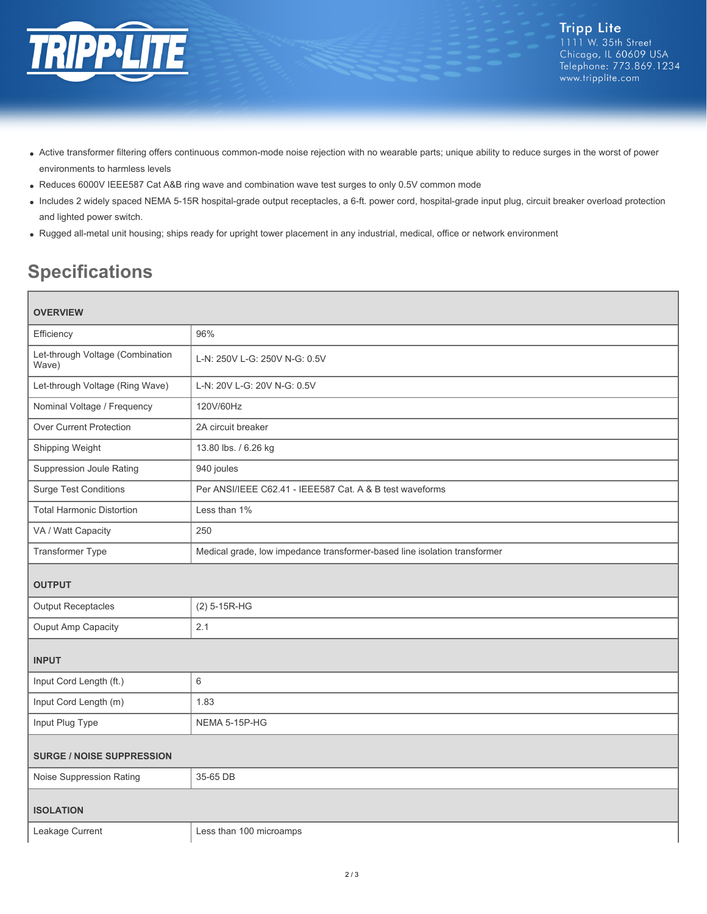

- Active transformer filtering offers continuous common-mode noise rejection with no wearable parts; unique ability to reduce surges in the worst of power environments to harmless levels
- Reduces 6000V IEEE587 Cat A&B ring wave and combination wave test surges to only 0.5V common mode
- Includes 2 widely spaced NEMA 5-15R hospital-grade output receptacles, a 6-ft. power cord, hospital-grade input plug, circuit breaker overload protection and lighted power switch.
- Rugged all-metal unit housing; ships ready for upright tower placement in any industrial, medical, office or network environment

# **Specifications**

| <b>OVERVIEW</b>                           |                                                                           |
|-------------------------------------------|---------------------------------------------------------------------------|
| Efficiency                                | 96%                                                                       |
| Let-through Voltage (Combination<br>Wave) | L-N: 250V L-G: 250V N-G: 0.5V                                             |
| Let-through Voltage (Ring Wave)           | L-N: 20V L-G: 20V N-G: 0.5V                                               |
| Nominal Voltage / Frequency               | 120V/60Hz                                                                 |
| <b>Over Current Protection</b>            | 2A circuit breaker                                                        |
| Shipping Weight                           | 13.80 lbs. / 6.26 kg                                                      |
| Suppression Joule Rating                  | 940 joules                                                                |
| <b>Surge Test Conditions</b>              | Per ANSI/IEEE C62.41 - IEEE587 Cat. A & B test waveforms                  |
| <b>Total Harmonic Distortion</b>          | Less than 1%                                                              |
| VA / Watt Capacity                        | 250                                                                       |
| Transformer Type                          | Medical grade, low impedance transformer-based line isolation transformer |
| <b>OUTPUT</b>                             |                                                                           |
| <b>Output Receptacles</b>                 | $(2)$ 5-15R-HG                                                            |
| Ouput Amp Capacity                        | 2.1                                                                       |
| <b>INPUT</b>                              |                                                                           |
| Input Cord Length (ft.)                   | $\,6\,$                                                                   |
| Input Cord Length (m)                     | 1.83                                                                      |
| Input Plug Type                           | NEMA 5-15P-HG                                                             |
| <b>SURGE / NOISE SUPPRESSION</b>          |                                                                           |
| Noise Suppression Rating                  | 35-65 DB                                                                  |
| <b>ISOLATION</b>                          |                                                                           |
| Leakage Current                           | Less than 100 microamps                                                   |